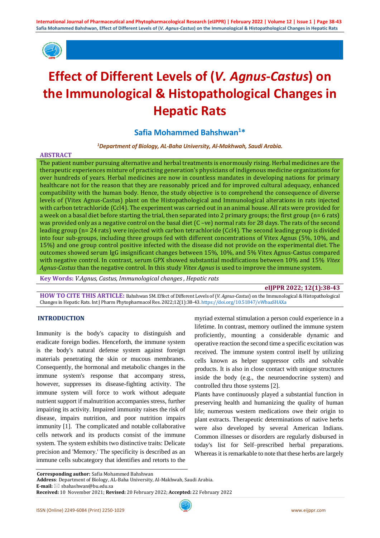

# **Effect of Different Levels of (***V. Agnus-Castus***) on the Immunological & Histopathological Changes in Hepatic Rats**

# **Safia Mohammed Bahshwan<sup>1</sup>\***

#### *<sup>1</sup>Department of Biology, AL-Baha University, Al-Makhwah, Saudi Arabia.*

#### **ABSTRACT**

The patient number pursuing alternative and herbal treatments is enormously rising. Herbal medicines are the therapeutic experiences mixture of practicing generation's physicians of indigenous medicine organizations for over hundreds of years. Herbal medicines are now in countless mandates in developing nations for primary healthcare not for the reason that they are reasonably priced and for improved cultural adequacy, enhanced compatibility with the human body. Hence, the study objective is to comprehend the consequence of diverse levels of (Vitex Agnus-Castus) plant on the Histopathological and Immunological alterations in rats injected with carbon tetrachloride (Ccl4). The experiment was carried out in an animal house. All rats were provided for a week on a basal diet before starting the trial, then separated into 2 primary groups; the first group (n= 6 rats) was provided only as a negative control on the basal diet  $(C -ve)$  normal rats for 28 days. The rats of the second leading group (n= 24 rats) were injected with carbon tetrachloride (Ccl4). The second leading group is divided into four sub-groups, including three groups fed with different concentrations of Vitex Agnus (5%, 10%, and 15%) and one group control positive infected with the disease did not provide on the experimental diet. The outcomes showed serum IgG insignificant changes between 15%, 10%, and 5% Vitex Agnus-Castus compared with negative control. In contrast, serum GPX showed substantial modifications between 10% and 15% *Vitex Agnus-Castus* than the negative control. In this study *Vitex Agnus* is used to improve the immune system.

**Key Words:** *V.Agnus, Castus, Immunological changes , Hepatic rats*

#### **eIJPPR 2022; 12(1):38-43**

**HOW TO CITE THIS ARTICLE:** Bahshwan SM. Effect of Different Levels of (*V. Agnus-Castus*) on the Immunological & Histopathological Changes in Hepatic Rats. Int J Pharm Phytopharmacol Res. 2022;12(1):38-43. <https://doi.org/10.51847/eWbaaSHAXa>

# **INTRODUCTION**

Immunity is the body's capacity to distinguish and eradicate foreign bodies. Henceforth, the immune system is the body's natural defense system against foreign materials penetrating the skin or mucous membranes. Consequently, the hormonal and metabolic changes in the immune system's response that accompany stress, however, suppresses its disease-fighting activity. The immune system will force to work without adequate nutrient support if malnutrition accompanies stress, further impairing its activity. Impaired immunity raises the risk of disease, impairs nutrition, and poor nutrition impairs immunity [1]. The complicated and notable collaborative cells network and its products consist of the immune system. The system exhibits two distinctive traits: Delicate precision and 'Memory.' The specificity is described as an immune cells subcategory that identifies and retorts to the

myriad external stimulation a person could experience in a lifetime. In contrast, memory outlined the immune system proficiently, mounting a considerable dynamic and operative reaction the second time a specific excitation was received. The immune system control itself by utilizing cells known as helper suppressor cells and solvable products. It is also in close contact with unique structures inside the body (e.g., the neuroendocrine system) and controlled thru those systems [2].

Plants have continuously played a substantial function in preserving health and humanizing the quality of human life; numerous western medications owe their origin to plant extracts. Therapeutic determinations of native herbs were also developed by several American Indians. Common illnesses or disorders are regularly disbursed in today's list for Self–prescribed herbal preparations. Whereas it is remarkable to note that these herbs are largely

**Corresponding author:** Safia Mohammed Bahshwan

**Address**: Department of Biology, AL-Baha University, Al-Makhwah, Saudi Arabia.

**E-mail:** ⊠ sbahashwan@bu.edu.sa

**Received:** 10 November 2021; **Revised:** 20 February 2022; **Accepted:** 22 February 2022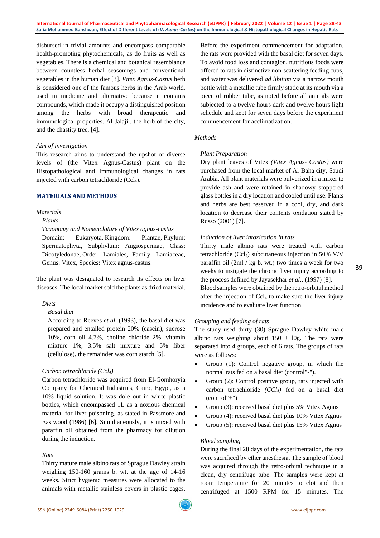**International Journal of Pharmaceutical and Phytopharmacological Research (eIJPPR) | February 2022 | Volume 12 | Issue 1 | Page 38-43 Safia Mohammed Bahshwan, Effect of Different Levels of (***V. Agnus-Castus***) on the Immunological & Histopathological Changes in Hepatic Rats**

disbursed in trivial amounts and encompass comparable health-promoting phytochemicals, as do fruits as well as vegetables. There is a chemical and botanical resemblance between countless herbal seasonings and conventional vegetables in the human diet [3]. *Vitex Agnus-Castus* herb is considered one of the famous herbs in the Arab world, used in medicine and alternative because it contains compounds, which made it occupy a distinguished position among the herbs with broad therapeutic and immunological properties. Al-Jalajil, the herb of the city, and the chastity tree, [4].

#### *Aim of investigation*

This research aims to understand the upshot of diverse levels of (the Vitex Agnus-Castus) plant on the Histopathological and Immunological changes in rats injected with carbon tetrachloride (Ccl4).

# **MATERIALS AND METHODS**

# *Materials*

# *Plants*

*Taxonomy and Nomenclature of Vitex agnus-castus*

Domain: Eukaryota, Kingdom: Plantae, Phylum: Spermatophyta, Subphylum: Angiospermae, Class: Dicotyledonae, Order: Lamiales, Family: Lamiaceae, Genus: Vitex, Species: Vitex agnus-castus.

The plant was designated to research its effects on liver diseases. The local market sold the plants as dried material.

# *Diets*

# *Basal diet*

According to Reeves *et al.* (1993), the basal diet was prepared and entailed protein 20% (casein), sucrose 10%, corn oil 4.7%, choline chloride 2%, vitamin mixture 1%, 3.5% salt mixture and 5% fiber (cellulose). the remainder was corn starch [5].

# *Carbon tetrachloride (Ccl4)*

Carbon tetrachloride was acquired from El-Gomhoryia Company for Chemical Industries, Cairo, Egypt, as a 10% liquid solution. It was dole out in white plastic bottles, which encompassed 1L as a noxious chemical material for liver poisoning, as stated in Passmore and Eastwood (1986) [6]. Simultaneously, it is mixed with paraffin oil obtained from the pharmacy for dilution during the induction.

# *Rats*

Thirty mature male albino rats of Sprague Dawley strain weighing 150-160 grams b. wt. at the age of 14-16 weeks. Strict hygienic measures were allocated to the animals with metallic stainless covers in plastic cages.

Before the experiment commencement for adaptation, the rats were provided with the basal diet for seven days. To avoid food loss and contagion, nutritious foods were offered to rats in distinctive non-scattering feeding cups, and water was delivered *ad libitum* via a narrow mouth bottle with a metallic tube firmly static at its mouth via a piece of rubber tube, as noted before all animals were subjected to a twelve hours dark and twelve hours light schedule and kept for seven days before the experiment commencement for acclimatization.

#### *Methods*

#### *Plant Preparation*

Dry plant leaves of Vitex *(Vitex Agnus- Castus)* were purchased from the local market of Al-Baha city, Saudi Arabia. All plant materials were pulverized in a mixer to provide ash and were retained in shadowy stoppered glass bottles in a dry location and cooled until use. Plants and herbs are best reserved in a cool, dry, and dark location to decrease their contents oxidation stated by Russo (2001) [7].

#### *Induction of liver intoxication in rats*

Thirty male albino rats were treated with carbon tetrachloride (Ccl<sub>4</sub>) subcutaneous injection in 50% V/V paraffin oil (2ml / kg b. wt.) two times a week for two weeks to instigate the chronic liver injury according to the process defined by Jayasekhar *et al*., (1997) [8]. Blood samples were obtained by the retro-orbital method after the injection of Ccl<sup>4</sup> to make sure the liver injury incidence and to evaluate liver function.

# *Grouping and feeding of rats*

The study used thirty (30) Sprague Dawley white male albino rats weighing about  $150 \pm 10$ g. The rats were separated into 4 groups, each of 6 rats. The groups of rats were as follows:

- Group (1): Control negative group, in which the normal rats fed on a basal diet (control"-").
- Group (2): Control positive group, rats injected with carbon tetrachloride *(CCl4)* fed on a basal diet (control"+")
- Group (3): received basal diet plus 5% Vitex Agnus
- Group (4): received basal diet plus 10% Vitex Agnus
- Group (5): received basal diet plus 15% Vitex Agnus

#### *Blood sampling*

During the final 28 days of the experimentation, the rats were sacrificed by ether anesthesia. The sample of blood was acquired through the retro-orbital technique in a clean, dry centrifuge tube. The samples were kept at room temperature for 20 minutes to clot and then centrifuged at 1500 RPM for 15 minutes. The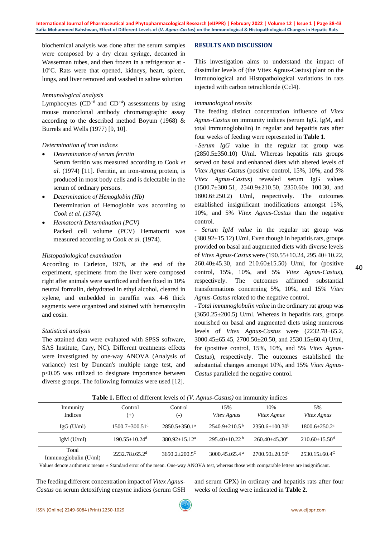biochemical analysis was done after the serum samples were composed by a dry clean syringe, decanted in Wasserman tubes, and then frozen in a refrigerator at - 10ºC. Rats were that opened, kidneys, heart, spleen, lungs, and liver removed and washed in saline solution

#### *Immunological analysis*

Lymphocytes  $(CD^{+8}$  and  $CD^{+4}$ ) assessments by using mouse monoclonal antibody chromatographic assay according to the described method Boyum (1968) & Burrels and Wells (1977) [9, 10].

# *Determination of iron indices*

- *Determination of serum ferritin* Serum ferritin was measured according to Cook *et al*. (1974) [11]. Ferritin, an iron-strong protein, is produced in most body cells and is delectable in the serum of ordinary persons.
- *Determination of Hemoglobin (Hb)* Determination of Hemoglobin was according to *Cook et al. (1974).*
- *Hematocrit Determination (PCV)* Packed cell volume (PCV) Hematocrit was measured according to Cook *et al*. (1974).

#### *Histopathological examination*

According to Carleton, 1978, at the end of the experiment, specimens from the liver were composed right after animals were sacrificed and then fixed in 10% neutral formalin, dehydrated in ethyl alcohol, cleared in xylene, and embedded in paraffin wax 4-6 thick segments were organized and stained with hematoxylin and eosin.

# *Statistical analysis*

The attained data were evaluated with SPSS software, SAS Institute, Cary, NC). Different treatments effects were investigated by one-way ANOVA (Analysis of variance) test by Duncan's multiple range test, and p<0.05 was utilized to designate importance between diverse groups. The following formulas were used [12].

# **RESULTS AND DISCUSSION**

This investigation aims to understand the impact of dissimilar levels of (the Vitex Agnus-Castus) plant on the Immunological and Histopathological variations in rats injected with carbon tetrachloride (Ccl4).

#### *Immunological results*

The feeding distinct concentration influence of *Vitex Agnus-Castus* on immunity indices (serum IgG, IgM, and total immunoglobulin) in regular and hepatitis rats after four weeks of feeding were represented in **Table 1**.

 - *Serum IgG* value in the regular rat group was  $(2850.5\pm350.10)$  U/ml. Whereas hepatitis rats groups served on basal and enhanced diets with altered levels of *Vitex Agnus-Castus* (positive control, 15%, 10%, and 5% *Vitex Agnus-Castus*) revealed serum IgG values (1500.7±300.51, 2540.9±210.50, 2350.60± 100.30, and 1800.6±250.2) U/ml, respectively. The outcomes established insignificant modifications amongst 15%, 10%, and 5% *Vitex Agnus-Castus* than the negative control.

*- Serum IgM value* in the regular rat group was  $(380.92\pm15.12)$  U/ml. Even though in hepatitis rats, groups provided on basal and augmented diets with diverse levels of *Vitex Agnus-Castus* were (190.55±10.24, 295.40±10.22, 260.40±45.30, and 210.60±15.50) U/ml, for (positive control, 15%, 10%, and 5% *Vitex Agnus-Castus*), respectively. The outcomes affirmed substantial transformations concerning 5%, 10%, and 15% *Vitex Agnus-Castus* related to the negative control.

*- Total immunoglobulin value* in the ordinary rat group was  $(3650.25 \pm 200.5)$  U/ml. Whereas in hepatitis rats, groups nourished on basal and augmented diets using numerous levels of *Vitex Agnus-Castus* were (2232.78±65.2, 3000.45±65.45, 2700.50±20.50, and 2530.15±60.4) U/ml, for (positive control, 15%, 10%, and 5% *Vitex Agnus-Castus*), respectively. The outcomes established the substantial changes amongst 10%, and 15% *Vitex Agnus-Castus* paralleled the negative control.

| <b>Table 1:</b> Effect of unferent levels of ( <i>v. Hgmas</i> ) casins) on immunity indices |                                |                               |                               |                    |                               |  |  |  |
|----------------------------------------------------------------------------------------------|--------------------------------|-------------------------------|-------------------------------|--------------------|-------------------------------|--|--|--|
| Immunity<br>Indices                                                                          | Control<br>$^{(+)}$            | Control<br>$(\textnormal{-})$ | 15%<br>Vitex Agnus            | 10%<br>Vitex Agnus | 5%<br>Vitex Agnus             |  |  |  |
| $IgG$ (U/ml)                                                                                 | $1500.7 + 300.51$ <sup>d</sup> | $2850.5 + 350.1^a$            | $2540.9+210.5^{\mathrm{b}}$   | $2350.6+100.30b$   | $1800.6 + 250.2$              |  |  |  |
| $IgM$ (U/ml)                                                                                 | $190.55 + 10.24$ <sup>d</sup>  | $380.92 + 15.12^a$            | $295.40+10.22b$               | $260.40 + 45.30$   | $210.60 + 15.50$ <sup>d</sup> |  |  |  |
| Total<br>Immunoglobulin $(U/ml)$                                                             | $2232.78 + 65.2$ <sup>d</sup>  | $3650.2 + 200.5^{\circ}$      | $3000.45 + 65.4$ <sup>a</sup> | $2700.50+20.50b$   | $2530.15 + 60.4^{\circ}$      |  |  |  |

**Table 1.** Effect of different levels of *(V. Agnus-Castus)* on immunity indices

Values denote arithmetic means ± Standard error of the mean. One-way ANOVA test, whereas those with comparable letters are insignificant.

The feeding different concentration impact of *Vitex Agnus-Castus* on serum detoxifying enzyme indices (serum GSH

and serum GPX) in ordinary and hepatitis rats after four weeks of feeding were indicated in **Table 2**.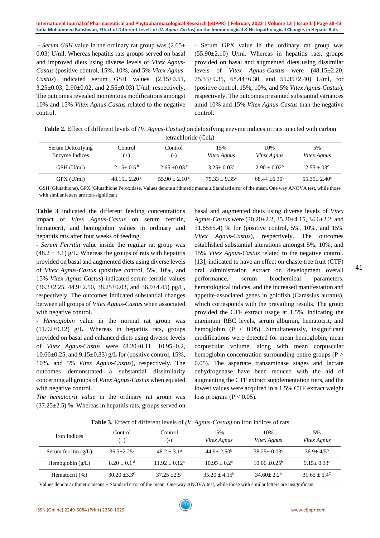*- Serum GSH* value in the ordinary rat group was (2.65± 0.03) U/ml. Whereas hepatitis rats groups served on basal and improved diets using diverse levels of *Vitex Agnus-Castus* (positive control, 15%, 10%, and 5% *Vitex Agnus-Castus*) indicated serum GSH values (2.15±0.51, 3.25±0.03, 2.90±0.02, and 2.55±0.03) U/ml, respectively. The outcomes revealed momentous modifications amongst 10% and 15% *Vitex Agnus-Castus* related to the negative control.

- Serum GPX value in the ordinary rat group was (55.90±2.10) U/ml. Whereas in hepatitis rats, groups provided on basal and augmented diets using dissimilar levels of *Vitex Agnus-Castus* were (48.15±2.20, 75.33±9.35, 68.44±6.30, and 55.35±2.40) U/ml, for (positive control, 15%, 10%, and 5% *Vitex Agnus-Castus*), respectively. The outcomes presented substantial variances amid 10% and 15% *Vitex Agnus-Castus* than the negative control.

**Table 2.** Effect of different levels of *(V. Agnus-Castus)* on detoxifying enzyme indices in rats injected with carbon tetrachloride (Ccl<sub>4</sub>)

| Control<br>$(+)$ | Control<br>$(-)$  | 15%<br><i>Vitex Agnus</i> | 10%<br>Vitex Agnus | 5%<br>Vitex Agnus      |  |  |  |
|------------------|-------------------|---------------------------|--------------------|------------------------|--|--|--|
| $2.15+0.5^{b}$   | $2.65 \pm 0.03$ c | $3.25 + 0.03^a$           | $2.90 + 0.02^b$    | $2.55 + 0.3$ °         |  |  |  |
| $48.15 + 2.20$ c | $55.90 + 2.10$ c  | $75.33 + 9.35^{\circ}$    | $68.44 + 6.30^b$   | $55.35 + 2.40^{\circ}$ |  |  |  |
|                  |                   |                           |                    |                        |  |  |  |

GSH (Glutathione), GPX (Glutathione Peroxidase, Values denote arithmetic means ± Standard error of the mean. One way ANOVA test, while those with similar letters are non-significant

**Table 3** indicated the different feeding concentrations impact of *Vitex Agnus-Castus* on serum ferritin, hematocrit, and hemoglobin values in ordinary and hepatitis rats after four weeks of feeding.

*- Serum Ferritin* value inside the regular rat group was  $(48.2 \pm 3.1)$  g/L. Whereas the groups of rats with hepatitis provided on basal and augmented diets using diverse levels of *Vitex Agnus-Castus* (positive control, 5%, 10%, and 15% *Vitex Agnus-Castus*) indicated serum ferritin values  $(36.3 \pm 2.25, 44.9 \pm 2.50, 38.25 \pm 0.03,$  and  $36.9 \pm 4.45)$  pg/L, respectively. The outcomes indicated substantial changes between all groups of *Vitex Agnus-Castus* when associated with negative control.

*- Hemoglobin* value in the normal rat group was  $(11.92\pm0.12)$  g/L. Whereas in hepatitis rats, groups provided on basal and enhanced diets using diverse levels of *Vitex Agnus-Castus* were (8.20±0.11, 10.95±0.2, 10.66 $\pm$ 0.25, and 9.15 $\pm$ 0.33) g/L for (positive control, 15%, 10%, and 5% *Vitex Agnus-Castus*), respectively. The outcomes demonstrated a substantial dissimilarity concerning all groups of *Vitex Agnus-Castus* when equated with negative control.

*The hematocrit value* in the ordinary rat group was  $(37.25\pm2.5)$  %. Whereas in hepatitis rats, groups served on basal and augmented diets using diverse levels of *Vitex Agnus-Castus* were (30.20±2.2, 35.20±4.15, 34.6±2.2, and 31.65±5.4) % for (positive control, 5%, 10%, and 15% *Vitex Agnus-Castus*), respectively. The outcomes established substantial alterations amongst 5%, 10%, and 15% *Vitex Agnus-Castus* related to the negative control. [13], indicated to have an effect on chaste tree fruit (CTF) oral administration extract on development overall performance, serum biochemical parameters, hematological indices, and the increased manifestation and appetite-associated genes in goldfish (Carassius auratus), which corresponds with the prevailing results. The group provided the CTF extract usage at 1.5%, indicating the maximum RBC levels, serum albumin, hematocrit, and hemoglobin  $(P < 0.05)$ . Simultaneously, insignificant modifications were detected for mean hemoglobin, mean corpuscular volume, along with mean corpuscular hemoglobin concentration surrounding entire groups  $(P >$ 0.05). The aspartate transaminase stages and lactate dehydrogenase have been reduced with the aid of augmenting the CTF extract supplementation tiers, and the lowest values were acquired in a 1.5% CTF extract weight loss program ( $P < 0.05$ ).

| <b>Table 5:</b> Effect of unferent levels of ( <i>v. Hgnus</i> ) casins) on from marces of face |                             |                               |                    |                        |                       |  |  |
|-------------------------------------------------------------------------------------------------|-----------------------------|-------------------------------|--------------------|------------------------|-----------------------|--|--|
| Iron Indices                                                                                    | Control<br>$^{(+)}$         | Control<br>$(\textnormal{-})$ | 15%<br>Vitex Agnus | 10%<br>Vitex Agnus     | 5%<br>Vitex Agnus     |  |  |
| Serum ferritin $(g/L)$                                                                          | $36.3 + 2.25$ °             | $48.2 + 3.1^a$                | $44.9 + 2.50b$     | $38.25 + 0.03^{\circ}$ | $36.9 + 4/5^{\circ}$  |  |  |
| Hemoglobin $(g/L)$                                                                              | $8.20 \pm 0.1$ <sup>d</sup> | $11.92 + 0.12^a$              | $10.95 + 0.2^a$    | $10.66 + 0.25^{\circ}$ | $9.15 + 0.33^c$       |  |  |
| Hematocrit (%)                                                                                  | $30.20 + 3.3^{\circ}$       | $37.25 + 2.5^{\mathrm{a}}$    | $35.20 + 4.15^b$   | $34.60 + 2.2^b$        | $31.65 + 5.4^{\circ}$ |  |  |

**Table 3.** Effect of different levels of *(V. Agnus-Castus)* on iron indices of rats

Values denote arithmetic means ± Standard error of the mean. One-way ANOVA test, while those with similar letters are insignificant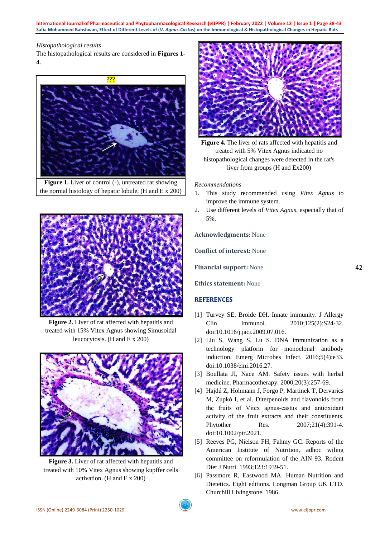**International Journal of Pharmaceutical and Phytopharmacological Research (eIJPPR) | February 2022 | Volume 12 | Issue 1 | Page 38-43 Safia Mohammed Bahshwan, Effect of Different Levels of (***V. Agnus-Castus***) on the Immunological & Histopathological Changes in Hepatic Rats**

# *Histopathological results*

The histopathological results are considered in **Figures 1- 4**.



**Figure 1.** Liver of control (-), untreated rat showing the normal histology of hepatic lobule. (H and  $E \times 200$ )



Figure 2. Liver of rat affected with hepatitis and treated with 15% Vitex Agnus showing Simusoidal leucocytosis. (H and E x 200)



Figure 3. Liver of rat affected with hepatitis and treated with 10% Vitex Agnus showing kupffer cells activation. (H and E x 200)



**Figure 4.** The liver of rats affected with hepatitis and treated with 5% Vitex Agnus indicated no histopathological changes were detected in the rat's liver from groups (H and Ex200)

*Recommendations*

- 1. This study recommended using *Vitex Agnus* to improve the immune system.
- 2. Use different levels of *Vitex Agnus*, especially that of 5%.

**Acknowledgments:** None

**Conflict of interest:** None

**Financial support:** None

**Ethics statement:** None

# **REFERENCES**

- [1] Turvey SE, Broide DH. Innate immunity. J Allergy Clin Immunol. 2010;125(2):S24-32. doi:10.1016/j.jaci.2009.07.016.
- [2] Liu S, Wang S, Lu S. DNA immunization as a technology platform for monoclonal antibody induction. Emerg Microbes Infect. 2016;5(4):e33. doi:10.1038/emi.2016.27.
- [3] Boullata JI, Nace AM. Safety issues with herbal medicine. Pharmacotherapy. 2000;20(3):257-69.
- [4] Hajdú Z, Hohmann J, Forgo P, Martinek T, Dervarics M, Zupkó I, et al. Diterpenoids and flavonoids from the fruits of Vitex agnus‐castus and antioxidant activity of the fruit extracts and their constituents. Phytother Res. 2007;21(4):391-4. doi:10.1002/ptr.2021.
- [5] Reeves PG, Nielson FH, Fahmy GC. Reports of the American Institute of Nutrition, adhoc wiling committee on reformulation of the AIN 93. Rodent Diet J Nutri. 1993;123:1939-51.
- [6] Passmore R, Eastwood MA. Human Nutrition and Dietetics. Eight editions. Longman Group UK LTD. Churchill Livingstone. 1986.